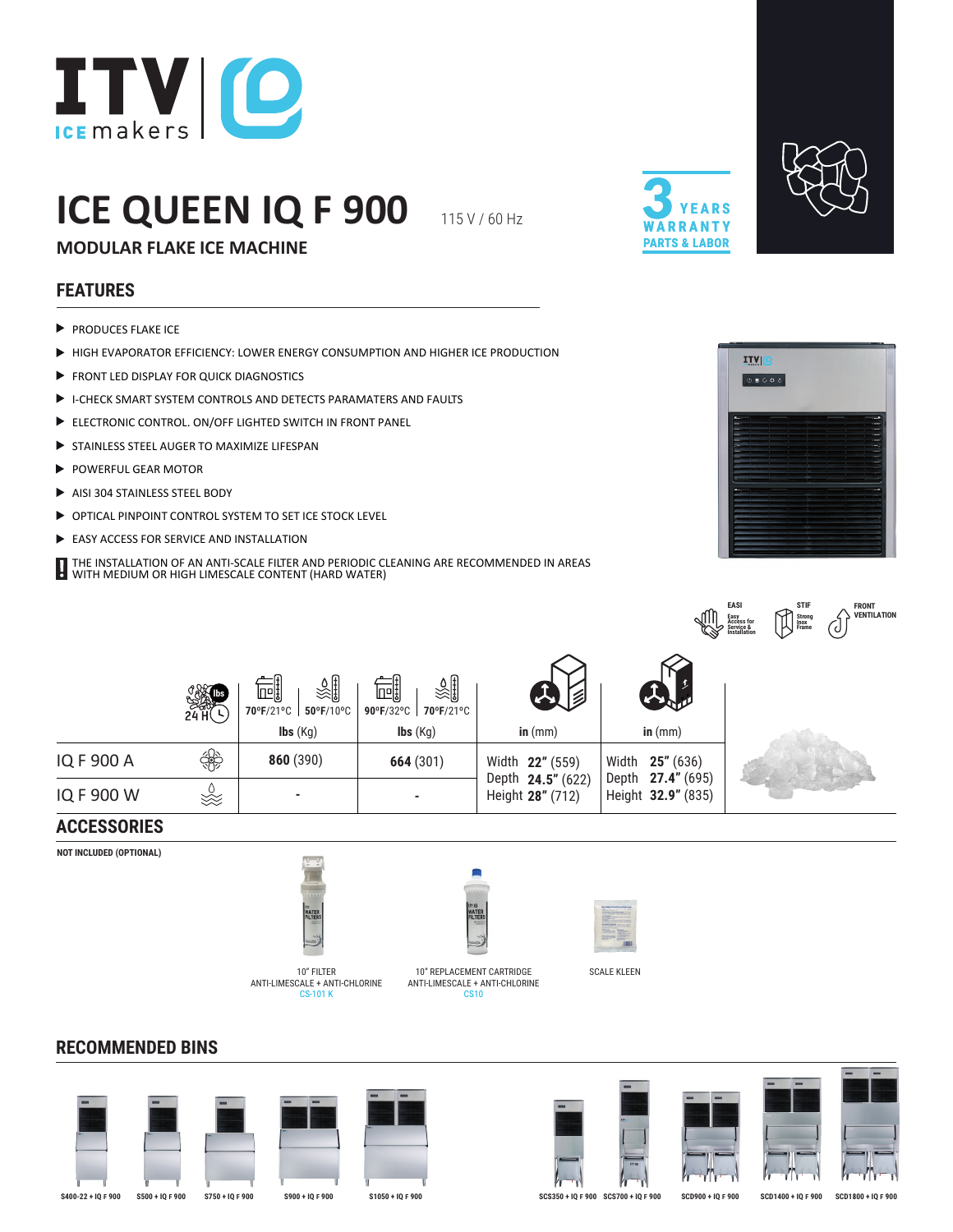

# **ICE QUEEN IQ F 900**

115 V / 60 Hz





**MODULAR FLAKE ICE MACHINE**

## **FEATURES**

- $\blacktriangleright$  PRODUCES FLAKE ICE
- HIGH EVAPORATOR EFFICIENCY: LOWER ENERGY CONSUMPTION AND HIGHER ICE PRODUCTION
- FRONT LED DISPLAY FOR QUICK DIAGNOSTICS
- I-CHECK SMART SYSTEM CONTROLS AND DETECTS PARAMATERS AND FAULTS
- ELECTRONIC CONTROL. ON/OFF LIGHTED SWITCH IN FRONT PANEL
- STAINLESS STEEL AUGER TO MAXIMIZE LIFESPAN
- POWERFUL GEAR MOTOR
- ▶ AISI 304 STAINLESS STEEL BODY
- OPTICAL PINPOINT CONTROL SYSTEM TO SET ICE STOCK LEVEL
- EASY ACCESS FOR SERVICE AND INSTALLATION
- THE INSTALLATION OF AN ANTI-SCALE FILTER AND PERIODIC CLEANING ARE RECOMMENDED IN AREAS WITH METALLATION OF AN ANTIFOLALE FILIEN AND FLOOD OF STATE MEDICINE CONTENT (HARD WATER)



**FRONT VENTILATION**

|                            |                                                                  |                                                                                 |                                       |                                         | <b>EASI</b><br><b>STIF</b><br>Strong<br>Inox<br>Frame<br>Easy<br>Access for<br>Service &<br>Installation<br>J |
|----------------------------|------------------------------------------------------------------|---------------------------------------------------------------------------------|---------------------------------------|-----------------------------------------|---------------------------------------------------------------------------------------------------------------|
| <b>ONAL</b><br>SAM<br>24 H | ू∭<br>吧<br>70°F/21°C<br>50°F/10°C<br>$\mathsf{Ibs}(\mathsf{Kg})$ | ∛हैं∥<br>呵<br>70°F/21°C<br>$90^{\circ}$ F/32°C  <br>$\mathsf{Ibs}(\mathsf{Kg})$ | $\leq$<br>in $(mm)$                   | in $(mm)$                               |                                                                                                               |
| ₩                          | 860 (390)                                                        | 664 (301)                                                                       | Width 22" (559)                       | 25" (636)<br>Width                      |                                                                                                               |
| XX<br>XX                   | ٠                                                                |                                                                                 | Depth 24.5" (622)<br>Height 28" (712) | Depth 27.4" (695)<br>Height 32.9" (835) |                                                                                                               |

#### **ACCESSORIES**

IQ F 900 A **860** (390) **664** (301)

IQ F 900 W

**NOT INCLUDED (OPTIONAL)**

**RECOMMENDED BINS**



CS-101 K



10" FILTER <a>>>
10" REPLACEMENT CARTRIDGE<br/>
SCALE KLEEN ANTI-LIMESCALE + ANTI-CHLORINE ANTI-LIMESCALE + ANTI-CHLORINE CS<sub>1</sub>